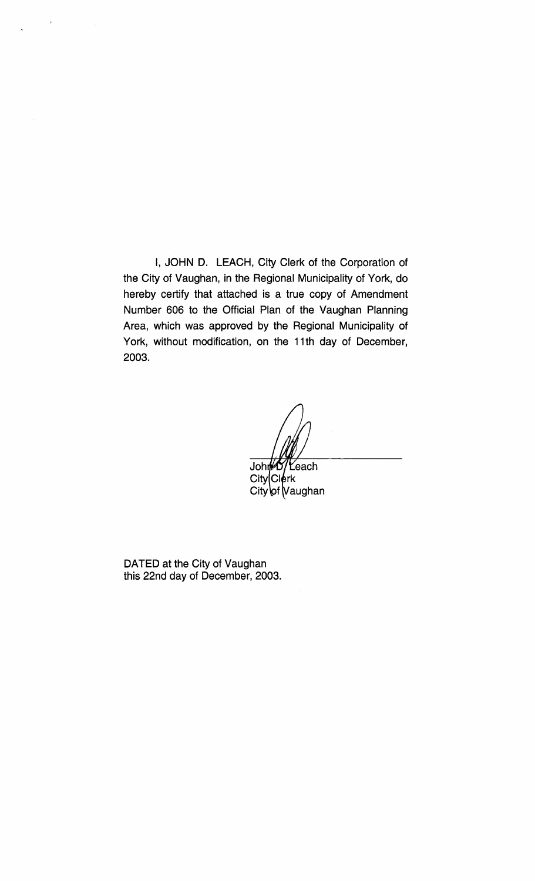I, JOHN D. LEACH, City Clerk of the Corporation of the City of Vaughan, in the Regional Municipality of York, do hereby certify that attached is a true copy of Amendment Number 606 to the Official Plan of the Vaughan Planning Area, which was approved by the Regional Municipality of York, without modification, on the 11th day of December, 2003.

John '<del>'</del>each  $City|C|$ erk City of Vaughan

DATED at the City of Vaughan this 22nd day of December, 2003.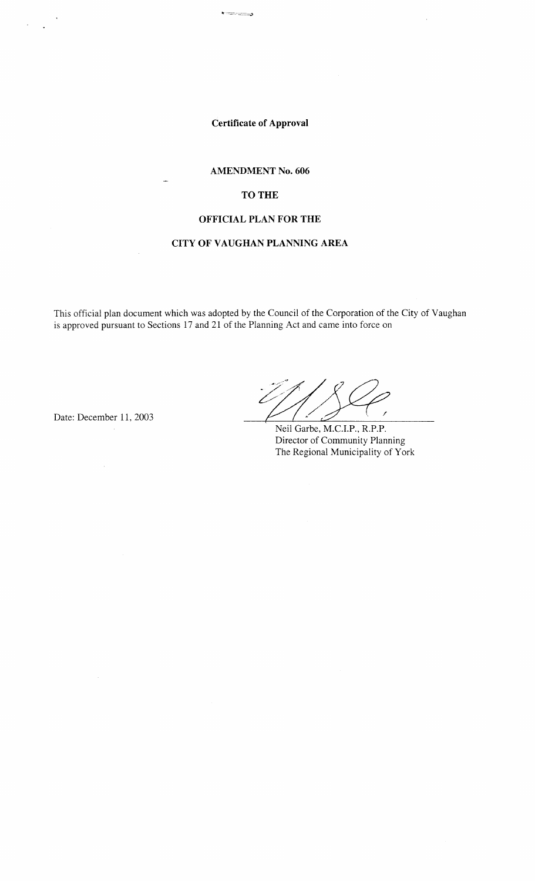**Certificate of Approval** 

 $\overline{\cdot}$ 

#### **AMENDMENT No. 606**

## **TO THE**

# **OFFICIAL PLAN FOR THE**

# **CITY OF VAUGHAN PLANNING AREA**

This official plan document which was adopted by the Council of the Corporation of the City of Vaughan is approved pursuant to Sections 17 and 21 of the Planning Act and came into force on

Date: December 11, 2003

Neil Garbe, M.C.I.P., R.P.P. Director of Community Planning The Regional Municipality of York

 $\bar{z}$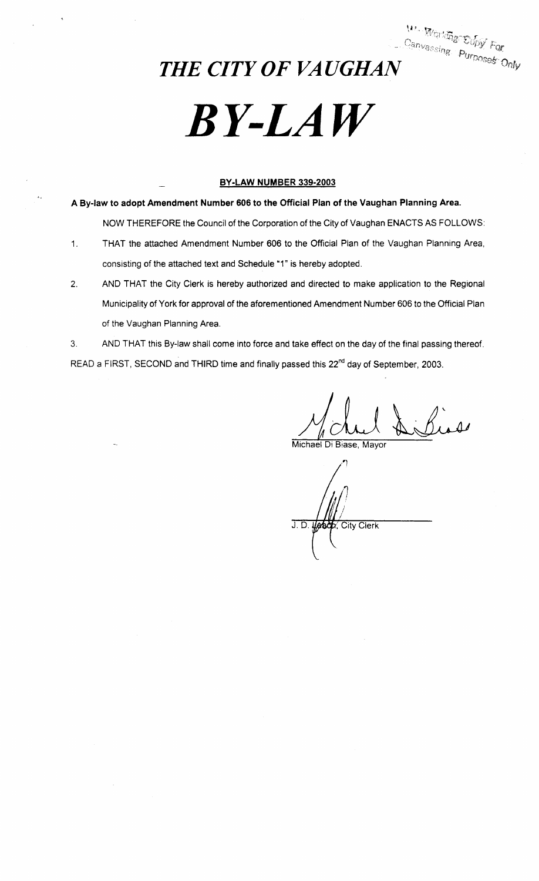*Canvassing Purposet Only*<br>
THE CITY OF VAUGHAN

# *BY-LAW*

# **BY-LAW NUMBER 339-2003**

**A By-law to adopt Amendment Number 606 to the Official Plan of the Vaughan Planning Area.** 

NOW THEREFORE the Council of the Corporation of the City of Vaughan ENACTS AS FOLLOWS:

- 1. THAT the attached Amendment Number 606 to the Official Plan of the Vaughan Planning Area, consisting of the attached text and Schedule "1" is hereby adopted.
- 2. AND THAT the City Clerk is hereby authorized and directed to make application to the Regional Municipality of York for approval of the aforementioned Amendment Number 606 to the Official Plan of the Vaughan Planning Area.

3. AND THAT this By-law shall come into force and take effect on the day of the final passing thereof. READ a FIRST, SECOND and THIRD time and finally passed this 22<sup>nd</sup> day of September, 2003.

Michael Di Biase, Mayor

J. D. Usbox, City Clerk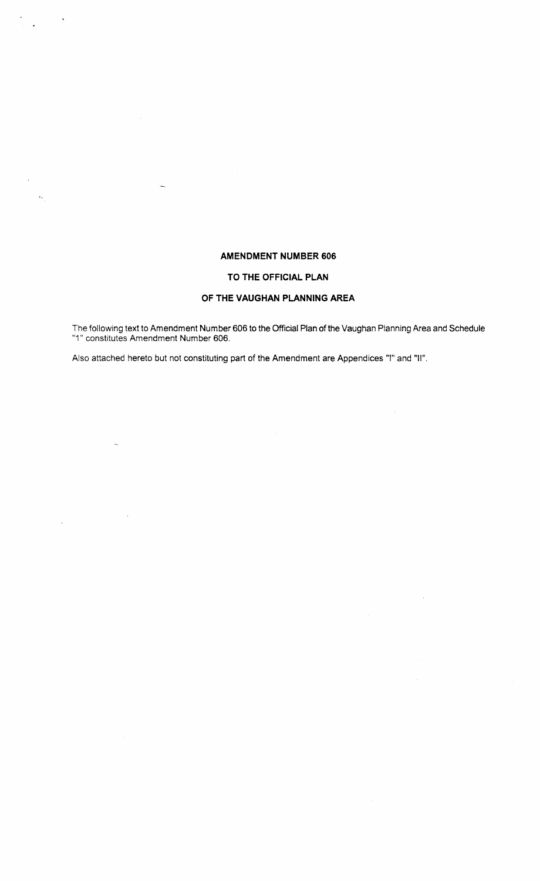# **AMENDMENT NUMBER 606**

### **TO THE OFFICIAL PLAN**

### **OF THE VAUGHAN PLANNING AREA**

The following text to Amendment Number 606 to the Official Plan of the Vaughan Planning Area and Schedule "1" constitutes Amendment Number 606.

Also attached hereto but not constituting part of the Amendment are Appendices "I" and "II".

 $\bar{\Delta}_\perp$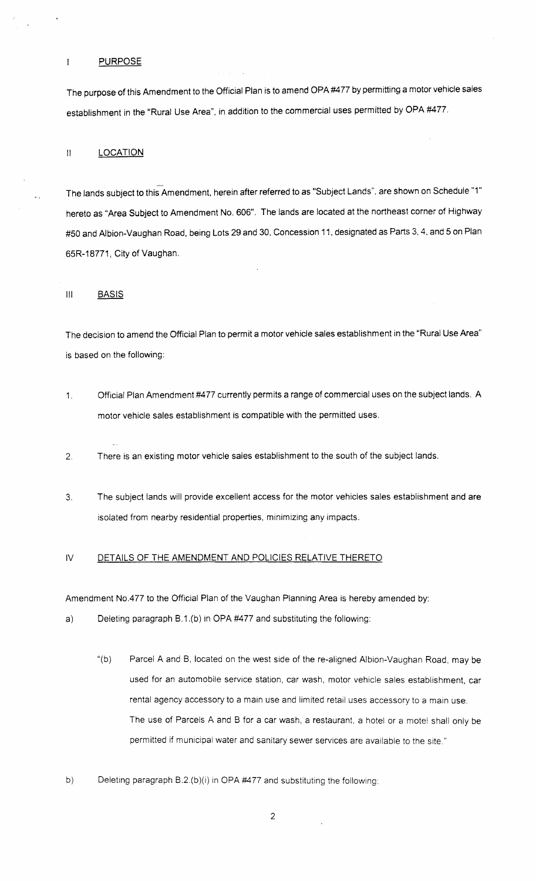#### PURPOSE

 $\mathbf{I}$ 

 $\mathbf{A}$ 

The purpose of this Amendment to the Official Plan is to amend OPA#477 by permitting a motor vehicle sales establishment in the "Rural Use Area", in addition to the commercial uses permitted by OPA #477.

#### II LOCATION

The lands subject to this Amendment, herein after referred to as "Subject Lands", are shown on Schedule "1" hereto as "Area Subject to Amendment No. 606". The lands are located at the northeast corner of Highway #50 and Albion-Vaughan Road, being Lots 29 and 30, Concession 11, designated as Parts 3, 4, and 5 on Plan 65R-18771, City of Vaughan.

#### Ill BASIS

The decision to amend the Official Plan to permit a motor vehicle sales establishment in the "Rural Use Area" is based on the following:

- 1. Official Plan Amendment #4 77 currently permits a range of commercial uses on the subject lands. A motor vehicle sales establishment is compatible with the permitted uses.
- 2. There is an existing motor vehicle sales establishment to the south of the subject lands.
- 3. The subject lands will provide excellent access for the motor vehicles sales establishment and are isolated from nearby residential properties, minimizing any impacts.

#### IV DETAILS OF THE AMENDMENT AND POLICIES RELATIVE THERETO

Amendment No.477 to the Official Plan of the Vaughan Planning Area is hereby amended by:

a) Deleting paragraph B.1.(b) in OPA #477 and substituting the following:

- "(b) Parcel A and B, located on the west side of the re-aligned Albion-Vaughan Road, may be used for an automobile service station, car wash, motor vehicle sales establishment, car rental agency accessory to a main use and limited retail uses accessory to a main use. The use of Parcels A and B for a car wash, a restaurant, a hotel or a motel shall only be permitted if municipal water and sanitary sewer services are available to the site."
- b) Deleting paragraph B.2.(b)(i) in OPA #477 and substituting the following:

2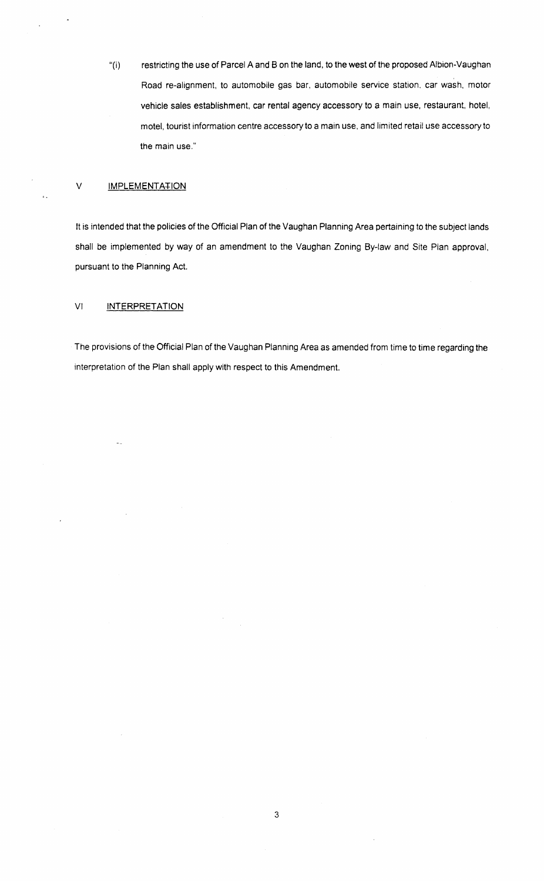"(i) restricting the use of Parcel A and 8 on the land, to the west of the proposed Albion-Vaughan Road re-alignment, to automobile gas bar, automobile service station. car wash, motor vehicle sales establishment, car rental agency accessory to a main use, restaurant, hotel, motel, tourist information centre accessory to a main use, and limited retail use accessory to the main use."

#### V IMPLEMENTATION

It is intended that the policies of the Official Plan of the Vaughan Planning Area pertaining to the subject lands shall be implemented by way of an amendment to the Vaughan Zoning By-law and Site Plan approval, pursuant to the Planning Act.

#### VI INTERPRETATION

The provisions of the Official Plan of the Vaughan Planning Area as amended from time to time regarding the interpretation of the Plan shall apply with respect to this Amendment.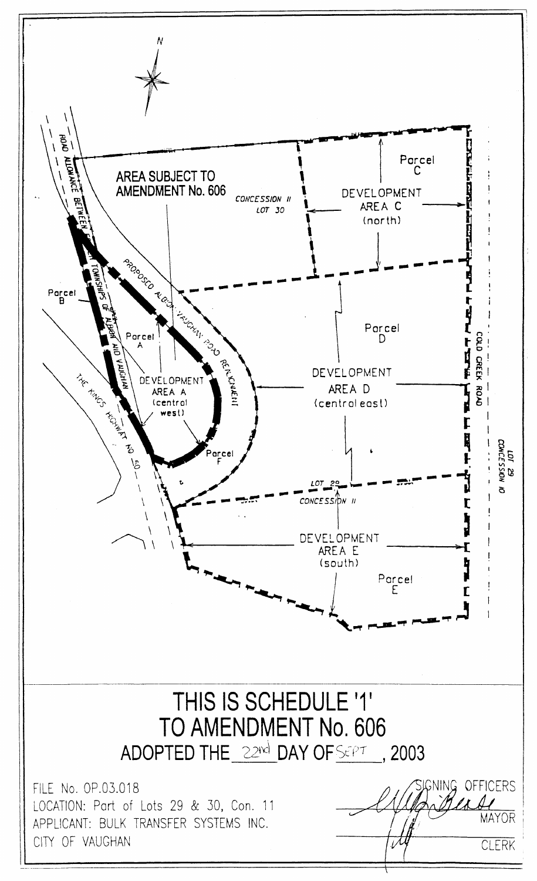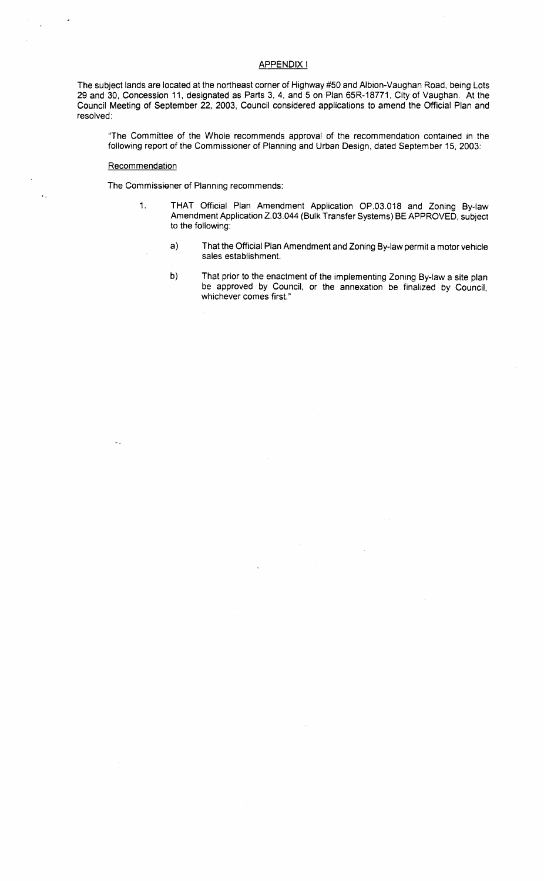#### APPENDIX I

The subject lands are located at the northeast corner of Highway #50 and Albion-Vaughan Road, being Lots 29 and 30, Concession 11, designated as Parts 3, 4, and 5 on Plan 65R-18771, City of Vaughan. At the Council Meeting of September 22, 2003, Council considered applications to amend the Official Plan and resolved:

"The Committee of the Whole recommends approval of the recommendation contained in the following report of the Commissioner of Planning and Urban Design, dated September 15, 2003:

#### **Recommendation**

 $\mathbf{1}$  .

The Commissioner of Planning recommends:

- 1. THAT Official Plan Amendment Application OP.03.018 and Zoning By-law Amendment Application Z.03.044 (Bulk Transfer Systems) BE APPROVED, subject to the following:
	- a) That the Official Plan Amendment and Zoning By-law permit a motor vehicle sales establishment.
	- b) That prior to the enactment of the implementing Zoning By-law a site plan be approved by Council, or the annexation be finalized by Council, whichever comes first."